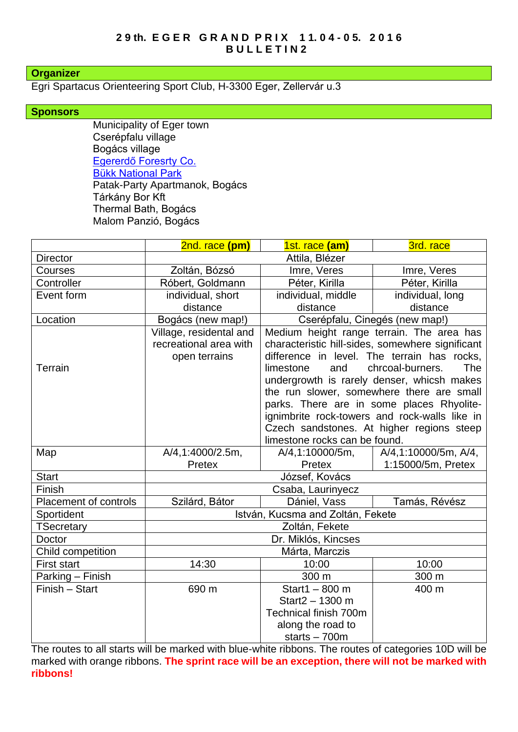## **Organizer**

Egri Spartacus Orienteering Sport Club, H-3300 Eger, Zellervár u.3

## **Sponsors**

Municipality of Eger town Cserépfalu village Bogács village [Egererdő Foresrty Co.](http://client4.springmedia.hu/) [Bükk National Park](http://en.bnpi.hu/) Patak-Party Apartmanok, Bogács Tárkány Bor Kft Thermal Bath, Bogács Malom Panzió, Bogács

|                              | 2nd. race (pm)                                                     | 1st. race (am)                                                                                                                                                                                                                                                                                                                                                                                                                                                            | 3rd. race            |
|------------------------------|--------------------------------------------------------------------|---------------------------------------------------------------------------------------------------------------------------------------------------------------------------------------------------------------------------------------------------------------------------------------------------------------------------------------------------------------------------------------------------------------------------------------------------------------------------|----------------------|
| <b>Director</b>              | Attila, Blézer                                                     |                                                                                                                                                                                                                                                                                                                                                                                                                                                                           |                      |
| Courses                      | Zoltán, Bózsó                                                      | Imre, Veres                                                                                                                                                                                                                                                                                                                                                                                                                                                               | Imre, Veres          |
| Controller                   | Róbert, Goldmann                                                   | Péter, Kirilla                                                                                                                                                                                                                                                                                                                                                                                                                                                            | Péter, Kirilla       |
| Event form                   | individual, short                                                  | individual, middle                                                                                                                                                                                                                                                                                                                                                                                                                                                        | individual, long     |
|                              | distance                                                           | distance                                                                                                                                                                                                                                                                                                                                                                                                                                                                  | distance             |
| Location                     | Bogács (new map!)                                                  | Cserépfalu, Cinegés (new map!)                                                                                                                                                                                                                                                                                                                                                                                                                                            |                      |
| Terrain                      | Village, residental and<br>recreational area with<br>open terrains | Medium height range terrain. The area has<br>characteristic hill-sides, somewhere significant<br>difference in level. The terrain has rocks,<br>chrcoal-burners.<br>and<br><b>The</b><br>limestone<br>undergrowth is rarely denser, whicsh makes<br>the run slower, somewhere there are small<br>parks. There are in some places Rhyolite-<br>ignimbrite rock-towers and rock-walls like in<br>Czech sandstones. At higher regions steep<br>limestone rocks can be found. |                      |
| Map                          | A/4,1:4000/2.5m,                                                   | A/4,1:10000/5m,                                                                                                                                                                                                                                                                                                                                                                                                                                                           | A/4,1:10000/5m, A/4, |
|                              | Pretex                                                             | Pretex                                                                                                                                                                                                                                                                                                                                                                                                                                                                    | 1:15000/5m, Pretex   |
| <b>Start</b>                 | József, Kovács                                                     |                                                                                                                                                                                                                                                                                                                                                                                                                                                                           |                      |
| Finish                       | Csaba, Laurinyecz                                                  |                                                                                                                                                                                                                                                                                                                                                                                                                                                                           |                      |
| <b>Placement of controls</b> | Szilárd, Bátor                                                     | Dániel, Vass                                                                                                                                                                                                                                                                                                                                                                                                                                                              | Tamás, Révész        |
| Sportident                   | István, Kucsma and Zoltán, Fekete                                  |                                                                                                                                                                                                                                                                                                                                                                                                                                                                           |                      |
| <b>TSecretary</b>            | Zoltán, Fekete                                                     |                                                                                                                                                                                                                                                                                                                                                                                                                                                                           |                      |
| Doctor                       | Dr. Miklós, Kincses                                                |                                                                                                                                                                                                                                                                                                                                                                                                                                                                           |                      |
| Child competition            | Márta, Marczis                                                     |                                                                                                                                                                                                                                                                                                                                                                                                                                                                           |                      |
| <b>First start</b>           | 14:30                                                              | 10:00                                                                                                                                                                                                                                                                                                                                                                                                                                                                     | 10:00                |
| Parking - Finish             |                                                                    | 300 m                                                                                                                                                                                                                                                                                                                                                                                                                                                                     | 300 m                |
| Finish - Start               | 690 m                                                              | Start1 $-800$ m                                                                                                                                                                                                                                                                                                                                                                                                                                                           | 400 m                |
|                              |                                                                    | Start2 - 1300 m                                                                                                                                                                                                                                                                                                                                                                                                                                                           |                      |
|                              |                                                                    | Technical finish 700m                                                                                                                                                                                                                                                                                                                                                                                                                                                     |                      |
|                              |                                                                    | along the road to                                                                                                                                                                                                                                                                                                                                                                                                                                                         |                      |
|                              |                                                                    | starts $-700m$                                                                                                                                                                                                                                                                                                                                                                                                                                                            |                      |

The routes to all starts will be marked with blue-white ribbons. The routes of categories 10D will be marked with orange ribbons. **The sprint race will be an exception, there will not be marked with ribbons!**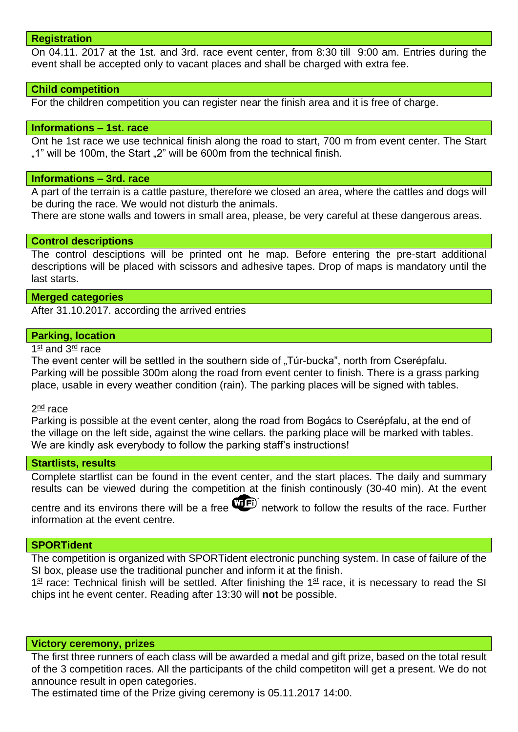### **Registration**

On 04.11. 2017 at the 1st. and 3rd. race event center, from 8:30 till 9:00 am. Entries during the event shall be accepted only to vacant places and shall be charged with extra fee.

### **Child competition**

For the children competition you can register near the finish area and it is free of charge.

#### **Informations – 1st. race**

Ont he 1st race we use technical finish along the road to start, 700 m from event center. The Start ..1" will be 100m, the Start ..2" will be 600m from the technical finish.

### **Informations – 3rd. race**

A part of the terrain is a cattle pasture, therefore we closed an area, where the cattles and dogs will be during the race. We would not disturb the animals.

There are stone walls and towers in small area, please, be very careful at these dangerous areas.

### **Control descriptions**

The control desciptions will be printed ont he map. Before entering the pre-start additional descriptions will be placed with scissors and adhesive tapes. Drop of maps is mandatory until the last starts.

### **Merged categories**

After 31.10.2017. according the arrived entries

### **Parking, location**

1st and 3<sup>rd</sup> race

The event center will be settled in the southern side of "Túr-bucka", north from Cserépfalu. Parking will be possible 300m along the road from event center to finish. There is a grass parking place, usable in every weather condition (rain). The parking places will be signed with tables.

2<sup>nd</sup> race

Parking is possible at the event center, along the road from Bogács to Cserépfalu, at the end of the village on the left side, against the wine cellars. the parking place will be marked with tables. We are kindly ask everybody to follow the parking staff's instructions!

## **Startlists, results**

Complete startlist can be found in the event center, and the start places. The daily and summary results can be viewed during the competition at the finish continously (30-40 min). At the event

centre and its environs there will be a free **WED** network to follow the results of the race. Further information at the event centre.

#### **SPORTident**

The competition is organized with SPORTident electronic punching system. In case of failure of the SI box, please use the traditional puncher and inform it at the finish.

 $1<sup>st</sup>$  race: Technical finish will be settled. After finishing the  $1<sup>st</sup>$  race, it is necessary to read the SI chips int he event center. Reading after 13:30 will **not** be possible.

#### **Victory ceremony, prizes**

The first three runners of each class will be awarded a medal and gift prize, based on the total result of the 3 competition races. All the participants of the child competiton will get a present. We do not announce result in open categories.

The estimated time of the Prize giving ceremony is 05.11.2017 14:00.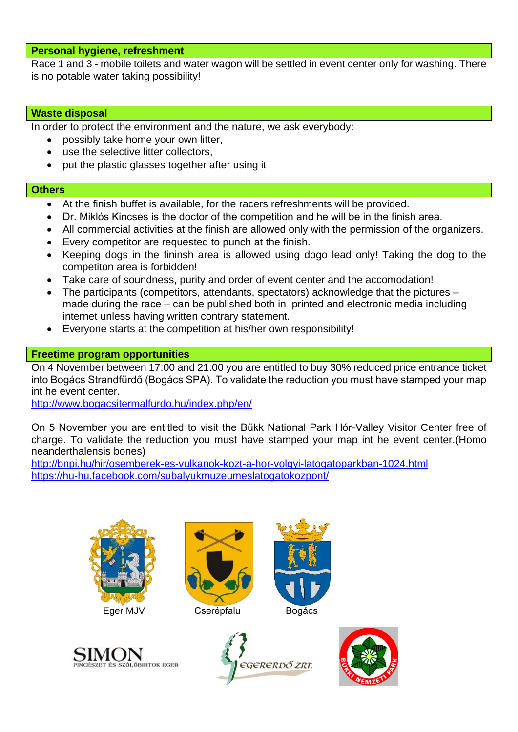## **Personal hygiene, refreshment**

Race 1 and 3 - mobile toilets and water wagon will be settled in event center only for washing. There is no potable water taking possibility!

## **Waste disposal**

In order to protect the environment and the nature, we ask everybody:

- possibly take home your own litter,
- use the selective litter collectors,
- put the plastic glasses together after using it

## **Others**

- At the finish buffet is available, for the racers refreshments will be provided.
- Dr. Miklós Kincses is the doctor of the competition and he will be in the finish area.
- All commercial activities at the finish are allowed only with the permission of the organizers.
- Every competitor are requested to punch at the finish.
- Keeping dogs in the fininsh area is allowed using dogo lead only! Taking the dog to the competiton area is forbidden!
- Take care of soundness, purity and order of event center and the accomodation!
- The participants (competitors, attendants, spectators) acknowledge that the pictures made during the race – can be published both in printed and electronic media including internet unless having written contrary statement.
- Everyone starts at the competition at his/her own responsibility!

# **Freetime program opportunities**

On 4 November between 17:00 and 21:00 you are entitled to buy 30% reduced price entrance ticket into Bogács Strandfürdő (Bogács SPA). To validate the reduction you must have stamped your map int he event center.

<http://www.bogacsitermalfurdo.hu/index.php/en/>

On 5 November you are entitled to visit the Bükk National Park Hór-Valley Visitor Center free of charge. To validate the reduction you must have stamped your map int he event center.(Homo neanderthalensis bones)

<http://bnpi.hu/hir/osemberek-es-vulkanok-kozt-a-hor-volgyi-latogatoparkban-1024.html> <https://hu-hu.facebook.com/subalyukmuzeumeslatogatokozpont/>





Eger MJV Cserépfalu Bogács







PINCÉSZET ÉS SZÓLÓBIRTOK EGER